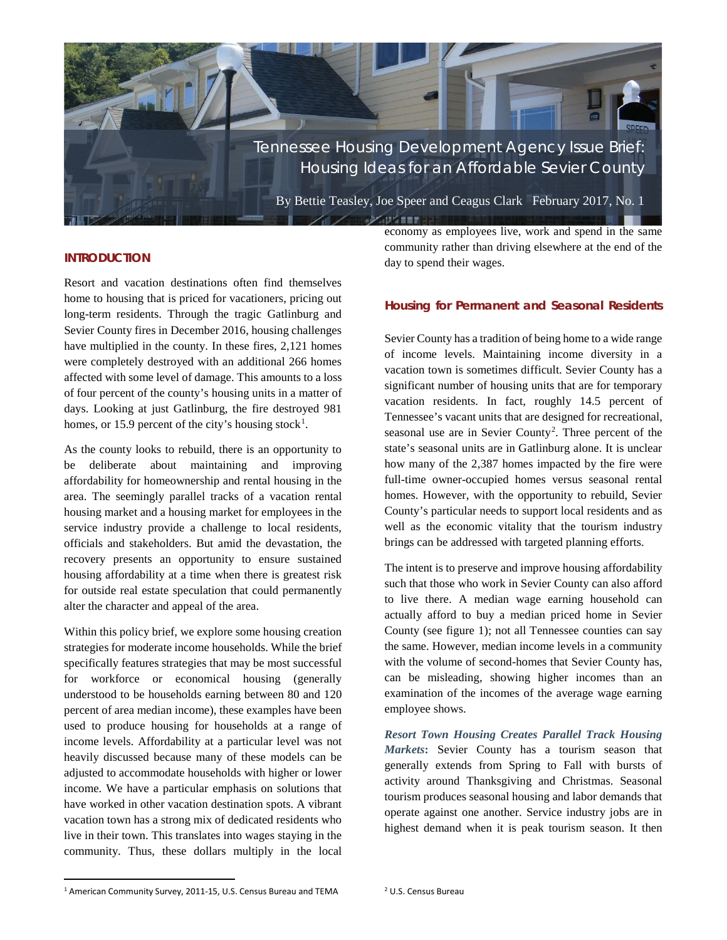

## **INTRODUCTION**

Resort and vacation destinations often find themselves home to housing that is priced for vacationers, pricing out long-term residents. Through the tragic Gatlinburg and Sevier County fires in December 2016, housing challenges have multiplied in the county. In these fires, 2,121 homes were completely destroyed with an additional 266 homes affected with some level of damage. This amounts to a loss of four percent of the county's housing units in a matter of days. Looking at just Gatlinburg, the fire destroyed 981 homes, or [1](#page-0-0)5.9 percent of the city's housing stock<sup>1</sup>.

As the county looks to rebuild, there is an opportunity to be deliberate about maintaining and improving affordability for homeownership and rental housing in the area. The seemingly parallel tracks of a vacation rental housing market and a housing market for employees in the service industry provide a challenge to local residents, officials and stakeholders. But amid the devastation, the recovery presents an opportunity to ensure sustained housing affordability at a time when there is greatest risk for outside real estate speculation that could permanently alter the character and appeal of the area.

Within this policy brief, we explore some housing creation strategies for moderate income households. While the brief specifically features strategies that may be most successful for workforce or economical housing (generally understood to be households earning between 80 and 120 percent of area median income), these examples have been used to produce housing for households at a range of income levels. Affordability at a particular level was not heavily discussed because many of these models can be adjusted to accommodate households with higher or lower income. We have a particular emphasis on solutions that have worked in other vacation destination spots. A vibrant vacation town has a strong mix of dedicated residents who live in their town. This translates into wages staying in the community. Thus, these dollars multiply in the local

economy as employees live, work and spend in the same community rather than driving elsewhere at the end of the day to spend their wages.

## **Housing for Permanent and Seasonal Residents**

Sevier County has a tradition of being home to a wide range of income levels. Maintaining income diversity in a vacation town is sometimes difficult. Sevier County has a significant number of housing units that are for temporary vacation residents. In fact, roughly 14.5 percent of Tennessee's vacant units that are designed for recreational, seasonal use are in Sevier County<sup>[2](#page-0-0)</sup>. Three percent of the state's seasonal units are in Gatlinburg alone. It is unclear how many of the 2,387 homes impacted by the fire were full-time owner-occupied homes versus seasonal rental homes. However, with the opportunity to rebuild, Sevier County's particular needs to support local residents and as well as the economic vitality that the tourism industry brings can be addressed with targeted planning efforts.

The intent is to preserve and improve housing affordability such that those who work in Sevier County can also afford to live there. A median wage earning household can actually afford to buy a median priced home in Sevier County (see figure 1); not all Tennessee counties can say the same. However, median income levels in a community with the volume of second-homes that Sevier County has, can be misleading, showing higher incomes than an examination of the incomes of the average wage earning employee shows.

*Resort Town Housing Creates Parallel Track Housing Markets***:** Sevier County has a tourism season that generally extends from Spring to Fall with bursts of activity around Thanksgiving and Christmas. Seasonal tourism produces seasonal housing and labor demands that operate against one another. Service industry jobs are in highest demand when it is peak tourism season. It then

<span id="page-0-0"></span> <sup>1</sup> American Community Survey, 2011-15, U.S. Census Bureau and TEMA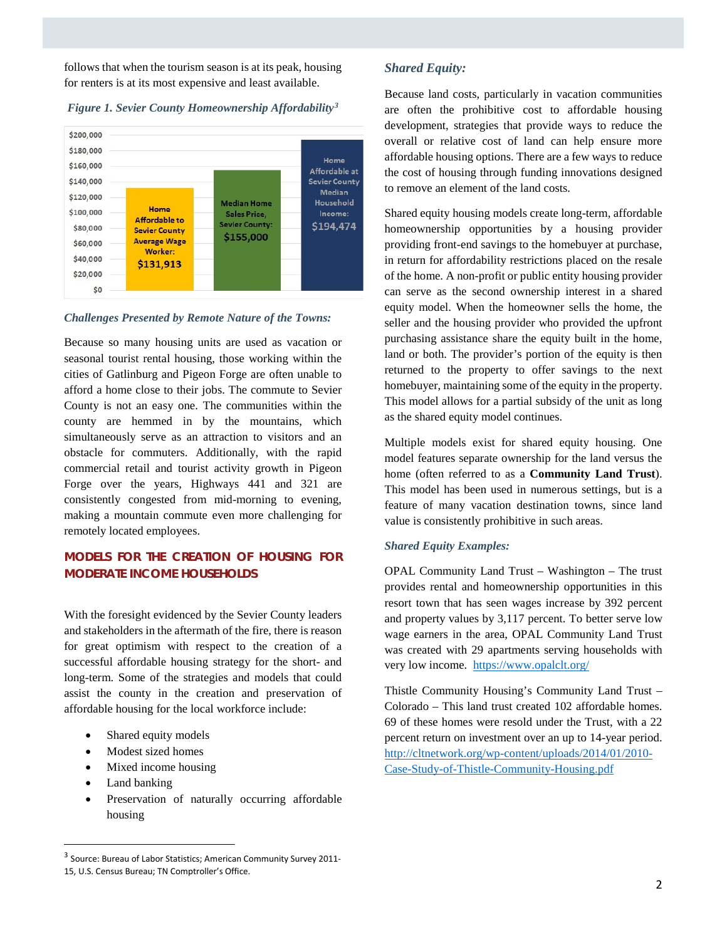follows that when the tourism season is at its peak, housing for renters is at its most expensive and least available.



## *Figure 1. Sevier County Homeownership Affordability[3](#page-1-0)*

### *Challenges Presented by Remote Nature of the Towns:*

Because so many housing units are used as vacation or seasonal tourist rental housing, those working within the cities of Gatlinburg and Pigeon Forge are often unable to afford a home close to their jobs. The commute to Sevier County is not an easy one. The communities within the county are hemmed in by the mountains, which simultaneously serve as an attraction to visitors and an obstacle for commuters. Additionally, with the rapid commercial retail and tourist activity growth in Pigeon Forge over the years, Highways 441 and 321 are consistently congested from mid-morning to evening, making a mountain commute even more challenging for remotely located employees.

# **MODELS FOR THE CREATION OF HOUSING FOR MODERATE INCOME HOUSEHOLDS**

With the foresight evidenced by the Sevier County leaders and stakeholders in the aftermath of the fire, there is reason for great optimism with respect to the creation of a successful affordable housing strategy for the short- and long-term. Some of the strategies and models that could assist the county in the creation and preservation of affordable housing for the local workforce include:

- Shared equity models
- Modest sized homes
- Mixed income housing
- Land banking
- Preservation of naturally occurring affordable housing

# *Shared Equity:*

Because land costs, particularly in vacation communities are often the prohibitive cost to affordable housing development, strategies that provide ways to reduce the overall or relative cost of land can help ensure more affordable housing options. There are a few ways to reduce the cost of housing through funding innovations designed to remove an element of the land costs.

Shared equity housing models create long-term, affordable homeownership opportunities by a housing provider providing front-end savings to the homebuyer at purchase, in return for affordability restrictions placed on the resale of the home. A non-profit or public entity housing provider can serve as the second ownership interest in a shared equity model. When the homeowner sells the home, the seller and the housing provider who provided the upfront purchasing assistance share the equity built in the home, land or both. The provider's portion of the equity is then returned to the property to offer savings to the next homebuyer, maintaining some of the equity in the property. This model allows for a partial subsidy of the unit as long as the shared equity model continues.

Multiple models exist for shared equity housing. One model features separate ownership for the land versus the home (often referred to as a **Community Land Trust**). This model has been used in numerous settings, but is a feature of many vacation destination towns, since land value is consistently prohibitive in such areas.

## *Shared Equity Examples:*

OPAL Community Land Trust – Washington – The trust provides rental and homeownership opportunities in this resort town that has seen wages increase by 392 percent and property values by 3,117 percent. To better serve low wage earners in the area, OPAL Community Land Trust was created with 29 apartments serving households with very low income.<https://www.opalclt.org/>

Thistle Community Housing's Community Land Trust – Colorado – This land trust created 102 affordable homes. 69 of these homes were resold under the Trust, with a 22 percent return on investment over an up to 14-year period. [http://cltnetwork.org/wp-content/uploads/2014/01/2010-](http://cltnetwork.org/wp-content/uploads/2014/01/2010-Case-Study-of-Thistle-Community-Housing.pdf) [Case-Study-of-Thistle-Community-Housing.pdf](http://cltnetwork.org/wp-content/uploads/2014/01/2010-Case-Study-of-Thistle-Community-Housing.pdf)

<span id="page-1-0"></span> <sup>3</sup> Source: Bureau of Labor Statistics; American Community Survey 2011- 15, U.S. Census Bureau; TN Comptroller's Office.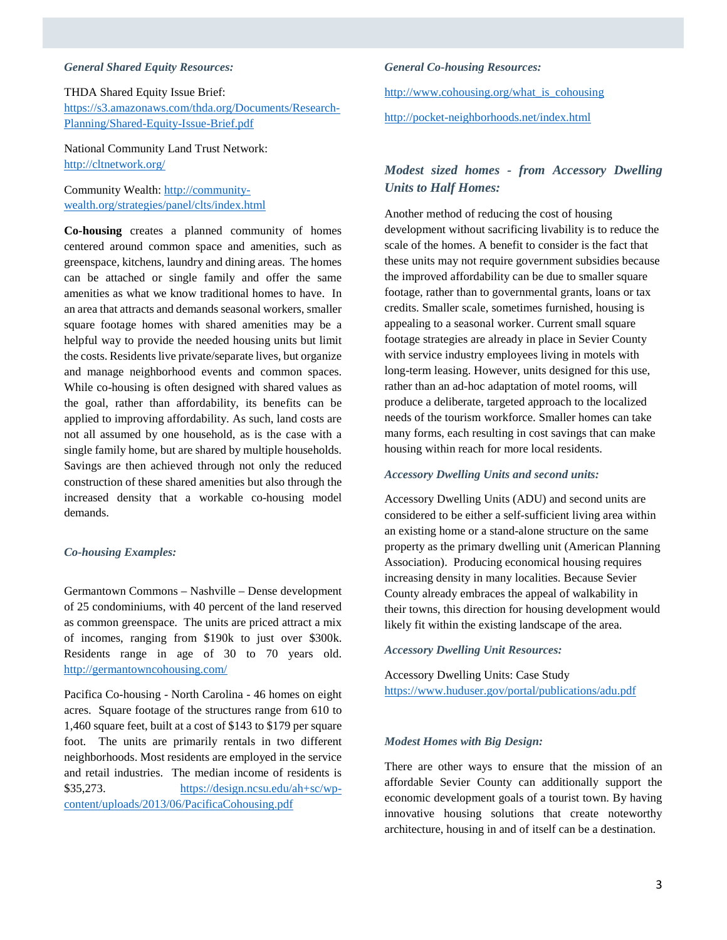### *General Shared Equity Resources:*

### THDA Shared Equity Issue Brief:

[https://s3.amazonaws.com/thda.org/Documents/Research-](https://s3.amazonaws.com/thda.org/Documents/Research-Planning/Shared-Equity-Issue-Brief.pdf)[Planning/Shared-Equity-Issue-Brief.pdf](https://s3.amazonaws.com/thda.org/Documents/Research-Planning/Shared-Equity-Issue-Brief.pdf)

National Community Land Trust Network: <http://cltnetwork.org/>

Community Wealth: [http://community](http://community-wealth.org/strategies/panel/clts/index.html)[wealth.org/strategies/panel/clts/index.html](http://community-wealth.org/strategies/panel/clts/index.html)

**Co-housing** creates a planned community of homes centered around common space and amenities, such as greenspace, kitchens, laundry and dining areas. The homes can be attached or single family and offer the same amenities as what we know traditional homes to have. In an area that attracts and demands seasonal workers, smaller square footage homes with shared amenities may be a helpful way to provide the needed housing units but limit the costs. Residents live private/separate lives, but organize and manage neighborhood events and common spaces. While co-housing is often designed with shared values as the goal, rather than affordability, its benefits can be applied to improving affordability. As such, land costs are not all assumed by one household, as is the case with a single family home, but are shared by multiple households. Savings are then achieved through not only the reduced construction of these shared amenities but also through the increased density that a workable co-housing model demands.

## *Co-housing Examples:*

Germantown Commons – Nashville – Dense development of 25 condominiums, with 40 percent of the land reserved as common greenspace. The units are priced attract a mix of incomes, ranging from \$190k to just over \$300k. Residents range in age of 30 to 70 years old. <http://germantowncohousing.com/>

Pacifica Co-housing - North Carolina - 46 homes on eight acres. Square footage of the structures range from 610 to 1,460 square feet, built at a cost of \$143 to \$179 per square foot. The units are primarily rentals in two different neighborhoods. Most residents are employed in the service and retail industries. The median income of residents is \$35,273. [https://design.ncsu.edu/ah+sc/wp](https://design.ncsu.edu/ah+sc/wp-content/uploads/2013/06/PacificaCohousing.pdf)[content/uploads/2013/06/PacificaCohousing.pdf](https://design.ncsu.edu/ah+sc/wp-content/uploads/2013/06/PacificaCohousing.pdf)

#### *General Co-housing Resources:*

[http://www.cohousing.org/what\\_is\\_cohousing](http://www.cohousing.org/what_is_cohousing)

http://pocket-neighborhoods.net/index.html

# *Modest sized homes - from Accessory Dwelling Units to Half Homes:*

Another method of reducing the cost of housing development without sacrificing livability is to reduce the scale of the homes. A benefit to consider is the fact that these units may not require government subsidies because the improved affordability can be due to smaller square footage, rather than to governmental grants, loans or tax credits. Smaller scale, sometimes furnished, housing is appealing to a seasonal worker. Current small square footage strategies are already in place in Sevier County with service industry employees living in motels with long-term leasing. However, units designed for this use, rather than an ad-hoc adaptation of motel rooms, will produce a deliberate, targeted approach to the localized needs of the tourism workforce. Smaller homes can take many forms, each resulting in cost savings that can make housing within reach for more local residents.

### *Accessory Dwelling Units and second units:*

Accessory Dwelling Units (ADU) and second units are considered to be either a self-sufficient living area within an existing home or a stand-alone structure on the same property as the primary dwelling unit (American Planning Association). Producing economical housing requires increasing density in many localities. Because Sevier County already embraces the appeal of walkability in their towns, this direction for housing development would likely fit within the existing landscape of the area.

#### *Accessory Dwelling Unit Resources:*

Accessory Dwelling Units: Case Study <https://www.huduser.gov/portal/publications/adu.pdf>

### *Modest Homes with Big Design:*

There are other ways to ensure that the mission of an affordable Sevier County can additionally support the economic development goals of a tourist town. By having innovative housing solutions that create noteworthy architecture, housing in and of itself can be a destination.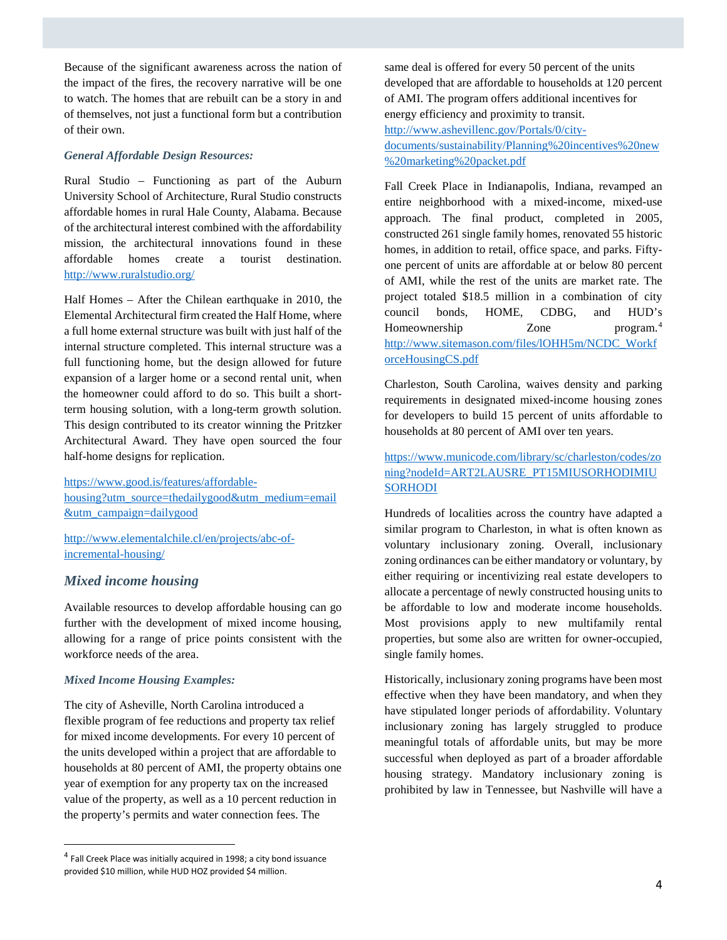Because of the significant awareness across the nation of the impact of the fires, the recovery narrative will be one to watch. The homes that are rebuilt can be a story in and of themselves, not just a functional form but a contribution of their own.

### *General Affordable Design Resources:*

Rural Studio – Functioning as part of the Auburn University School of Architecture, Rural Studio constructs affordable homes in rural Hale County, Alabama. Because of the architectural interest combined with the affordability mission, the architectural innovations found in these affordable homes create a tourist destination. <http://www.ruralstudio.org/>

Half Homes – After the Chilean earthquake in 2010, the Elemental Architectural firm created the Half Home, where a full home external structure was built with just half of the internal structure completed. This internal structure was a full functioning home, but the design allowed for future expansion of a larger home or a second rental unit, when the homeowner could afford to do so. This built a shortterm housing solution, with a long-term growth solution. This design contributed to its creator winning the Pritzker Architectural Award. They have open sourced the four half-home designs for replication.

[https://www.good.is/features/affordable](https://www.good.is/features/affordable-housing?utm_source=thedailygood&utm_medium=email&utm_campaign=dailygood)[housing?utm\\_source=thedailygood&utm\\_medium=email](https://www.good.is/features/affordable-housing?utm_source=thedailygood&utm_medium=email&utm_campaign=dailygood) [&utm\\_campaign=dailygood](https://www.good.is/features/affordable-housing?utm_source=thedailygood&utm_medium=email&utm_campaign=dailygood)

[http://www.elementalchile.cl/en/projects/abc-of](http://www.elementalchile.cl/en/projects/abc-of-incremental-housing/)[incremental-housing/](http://www.elementalchile.cl/en/projects/abc-of-incremental-housing/)

# *Mixed income housing*

Available resources to develop affordable housing can go further with the development of mixed income housing, allowing for a range of price points consistent with the workforce needs of the area.

## *Mixed Income Housing Examples:*

The city of Asheville, North Carolina introduced a flexible program of fee reductions and property tax relief for mixed income developments. For every 10 percent of the units developed within a project that are affordable to households at 80 percent of AMI, the property obtains one year of exemption for any property tax on the increased value of the property, as well as a 10 percent reduction in the property's permits and water connection fees. The

same deal is offered for every 50 percent of the units developed that are affordable to households at 120 percent of AMI. The program offers additional incentives for energy efficiency and proximity to transit. [http://www.ashevillenc.gov/Portals/0/city](http://www.ashevillenc.gov/Portals/0/city-documents/sustainability/Planning%20incentives%20new%20marketing%20packet.pdf)[documents/sustainability/Planning%20incentives%20new](http://www.ashevillenc.gov/Portals/0/city-documents/sustainability/Planning%20incentives%20new%20marketing%20packet.pdf) [%20marketing%20packet.pdf](http://www.ashevillenc.gov/Portals/0/city-documents/sustainability/Planning%20incentives%20new%20marketing%20packet.pdf)

Fall Creek Place in Indianapolis, Indiana, revamped an entire neighborhood with a mixed-income, mixed-use approach. The final product, completed in 2005, constructed 261 single family homes, renovated 55 historic homes, in addition to retail, office space, and parks. Fiftyone percent of units are affordable at or below 80 percent of AMI, while the rest of the units are market rate. The project totaled \$18.5 million in a combination of city council bonds, HOME, CDBG, and HUD's Homeownership Zone program.<sup>[4](#page-3-0)</sup> [http://www.sitemason.com/files/lOHH5m/NCDC\\_Workf](http://www.sitemason.com/files/lOHH5m/NCDC_WorkforceHousingCS.pdf) [orceHousingCS.pdf](http://www.sitemason.com/files/lOHH5m/NCDC_WorkforceHousingCS.pdf)

Charleston, South Carolina, waives density and parking requirements in designated mixed-income housing zones for developers to build 15 percent of units affordable to households at 80 percent of AMI over ten years.

[https://www.municode.com/library/sc/charleston/codes/zo](https://www.municode.com/library/sc/charleston/codes/zoning?nodeId=ART2LAUSRE_PT15MIUSORHODIMIUSORHODI) [ning?nodeId=ART2LAUSRE\\_PT15MIUSORHODIMIU](https://www.municode.com/library/sc/charleston/codes/zoning?nodeId=ART2LAUSRE_PT15MIUSORHODIMIUSORHODI) **[SORHODI](https://www.municode.com/library/sc/charleston/codes/zoning?nodeId=ART2LAUSRE_PT15MIUSORHODIMIUSORHODI)** 

Hundreds of localities across the country have adapted a similar program to Charleston, in what is often known as voluntary inclusionary zoning. Overall, inclusionary zoning ordinances can be either mandatory or voluntary, by either requiring or incentivizing real estate developers to allocate a percentage of newly constructed housing units to be affordable to low and moderate income households. Most provisions apply to new multifamily rental properties, but some also are written for owner-occupied, single family homes.

Historically, inclusionary zoning programs have been most effective when they have been mandatory, and when they have stipulated longer periods of affordability. Voluntary inclusionary zoning has largely struggled to produce meaningful totals of affordable units, but may be more successful when deployed as part of a broader affordable housing strategy. Mandatory inclusionary zoning is prohibited by law in Tennessee, but Nashville will have a

<span id="page-3-0"></span> <sup>4</sup> Fall Creek Place was initially acquired in 1998; a city bond issuance provided \$10 million, while HUD HOZ provided \$4 million.